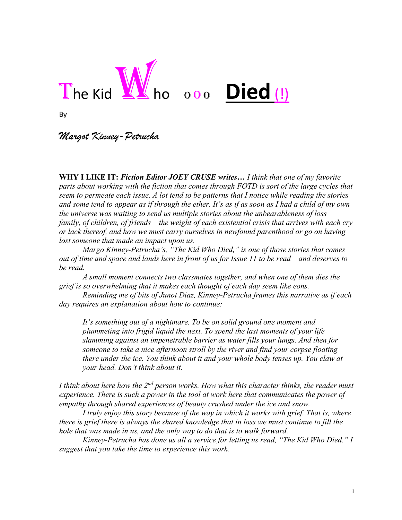

# 000 **Died** (!)

By

*Margot Kinney-Petrucha*

**WHY I LIKE IT:** *Fiction Editor JOEY CRUSE writes… I think that one of my favorite parts about working with the fiction that comes through FOTD is sort of the large cycles that seem to permeate each issue. A lot tend to be patterns that I notice while reading the stories and some tend to appear as if through the ether. It's as if as soon as I had a child of my own the universe was waiting to send us multiple stories about the unbearableness of loss – family, of children, of friends – the weight of each existential crisis that arrives with each cry or lack thereof, and how we must carry ourselves in newfound parenthood or go on having lost someone that made an impact upon us.* 

*Margo Kinney-Petrucha's, "The Kid Who Died," is one of those stories that comes out of time and space and lands here in front of us for Issue 11 to be read – and deserves to be read.* 

*A small moment connects two classmates together, and when one of them dies the grief is so overwhelming that it makes each thought of each day seem like eons.* 

*Reminding me of bits of Junot Diaz, Kinney-Petrucha frames this narrative as if each day requires an explanation about how to continue:* 

*It's something out of a nightmare. To be on solid ground one moment and plummeting into frigid liquid the next. To spend the last moments of your life slamming against an impenetrable barrier as water fills your lungs. And then for someone to take a nice afternoon stroll by the river and find your corpse floating there under the ice. You think about it and your whole body tenses up. You claw at your head. Don't think about it.*

*I think about here how the 2nd person works. How what this character thinks, the reader must experience. There is such a power in the tool at work here that communicates the power of empathy through shared experiences of beauty crushed under the ice and snow.* 

*I truly enjoy this story because of the way in which it works with grief. That is, where there is grief there is always the shared knowledge that in loss we must continue to fill the hole that was made in us, and the only way to do that is to walk forward.* 

*Kinney-Petrucha has done us all a service for letting us read, "The Kid Who Died." I suggest that you take the time to experience this work.*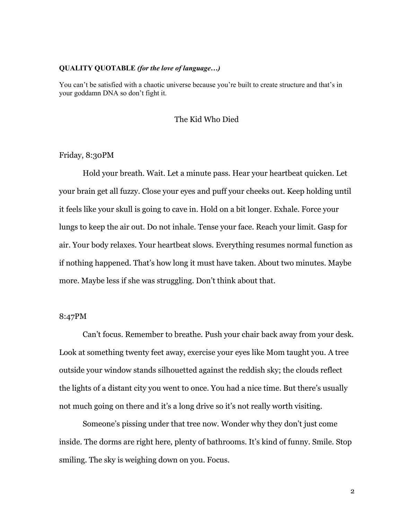#### **QUALITY QUOTABLE** *(for the love of language…)*

You can't be satisfied with a chaotic universe because you're built to create structure and that's in your goddamn DNA so don't fight it.

## The Kid Who Died

## Friday, 8:30PM

Hold your breath. Wait. Let a minute pass. Hear your heartbeat quicken. Let your brain get all fuzzy. Close your eyes and puff your cheeks out. Keep holding until it feels like your skull is going to cave in. Hold on a bit longer. Exhale. Force your lungs to keep the air out. Do not inhale. Tense your face. Reach your limit. Gasp for air. Your body relaxes. Your heartbeat slows. Everything resumes normal function as if nothing happened. That's how long it must have taken. About two minutes. Maybe more. Maybe less if she was struggling. Don't think about that.

## 8:47PM

Can't focus. Remember to breathe. Push your chair back away from your desk. Look at something twenty feet away, exercise your eyes like Mom taught you. A tree outside your window stands silhouetted against the reddish sky; the clouds reflect the lights of a distant city you went to once. You had a nice time. But there's usually not much going on there and it's a long drive so it's not really worth visiting.

Someone's pissing under that tree now. Wonder why they don't just come inside. The dorms are right here, plenty of bathrooms. It's kind of funny. Smile. Stop smiling. The sky is weighing down on you. Focus.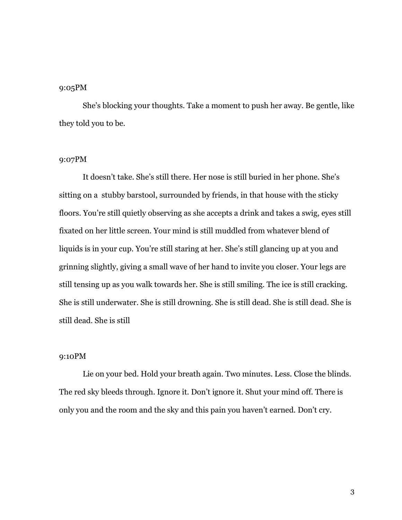## 9:05PM

She's blocking your thoughts. Take a moment to push her away. Be gentle, like they told you to be.

## 9:07PM

It doesn't take. She's still there. Her nose is still buried in her phone. She's sitting on a stubby barstool, surrounded by friends, in that house with the sticky floors. You're still quietly observing as she accepts a drink and takes a swig, eyes still fixated on her little screen. Your mind is still muddled from whatever blend of liquids is in your cup. You're still staring at her. She's still glancing up at you and grinning slightly, giving a small wave of her hand to invite you closer. Your legs are still tensing up as you walk towards her. She is still smiling. The ice is still cracking. She is still underwater. She is still drowning. She is still dead. She is still dead. She is still dead. She is still

#### 9:10PM

Lie on your bed. Hold your breath again. Two minutes. Less. Close the blinds. The red sky bleeds through. Ignore it. Don't ignore it. Shut your mind off. There is only you and the room and the sky and this pain you haven't earned. Don't cry.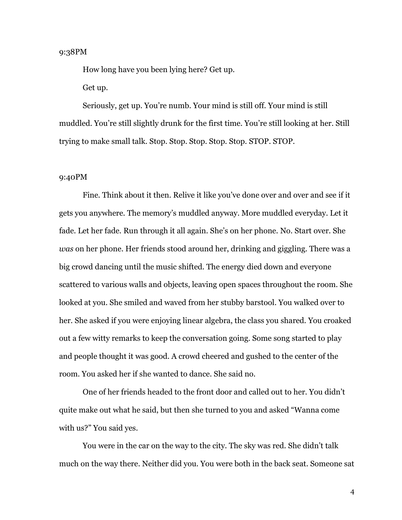## 9:38PM

How long have you been lying here? Get up. Get up.

Seriously, get up. You're numb. Your mind is still off. Your mind is still muddled. You're still slightly drunk for the first time. You're still looking at her. Still trying to make small talk. Stop. Stop. Stop. Stop. Stop. STOP. STOP.

#### 9:40PM

Fine. Think about it then. Relive it like you've done over and over and see if it gets you anywhere. The memory's muddled anyway. More muddled everyday. Let it fade. Let her fade. Run through it all again. She's on her phone. No. Start over. She *was* on her phone. Her friends stood around her, drinking and giggling. There was a big crowd dancing until the music shifted. The energy died down and everyone scattered to various walls and objects, leaving open spaces throughout the room. She looked at you. She smiled and waved from her stubby barstool. You walked over to her. She asked if you were enjoying linear algebra, the class you shared. You croaked out a few witty remarks to keep the conversation going. Some song started to play and people thought it was good. A crowd cheered and gushed to the center of the room. You asked her if she wanted to dance. She said no.

One of her friends headed to the front door and called out to her. You didn't quite make out what he said, but then she turned to you and asked "Wanna come with us?" You said yes.

You were in the car on the way to the city. The sky was red. She didn't talk much on the way there. Neither did you. You were both in the back seat. Someone sat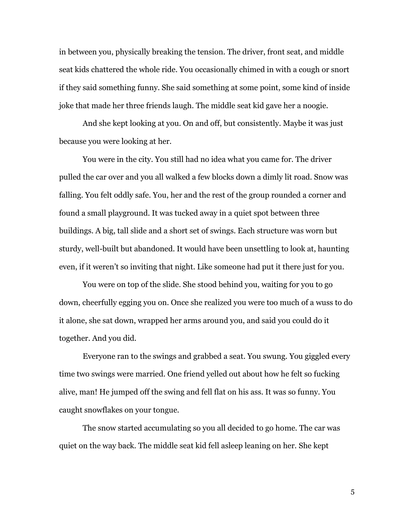in between you, physically breaking the tension. The driver, front seat, and middle seat kids chattered the whole ride. You occasionally chimed in with a cough or snort if they said something funny. She said something at some point, some kind of inside joke that made her three friends laugh. The middle seat kid gave her a noogie.

And she kept looking at you. On and off, but consistently. Maybe it was just because you were looking at her.

You were in the city. You still had no idea what you came for. The driver pulled the car over and you all walked a few blocks down a dimly lit road. Snow was falling. You felt oddly safe. You, her and the rest of the group rounded a corner and found a small playground. It was tucked away in a quiet spot between three buildings. A big, tall slide and a short set of swings. Each structure was worn but sturdy, well-built but abandoned. It would have been unsettling to look at, haunting even, if it weren't so inviting that night. Like someone had put it there just for you.

You were on top of the slide. She stood behind you, waiting for you to go down, cheerfully egging you on. Once she realized you were too much of a wuss to do it alone, she sat down, wrapped her arms around you, and said you could do it together. And you did.

Everyone ran to the swings and grabbed a seat. You swung. You giggled every time two swings were married. One friend yelled out about how he felt so fucking alive, man! He jumped off the swing and fell flat on his ass. It was so funny. You caught snowflakes on your tongue.

The snow started accumulating so you all decided to go home. The car was quiet on the way back. The middle seat kid fell asleep leaning on her. She kept

5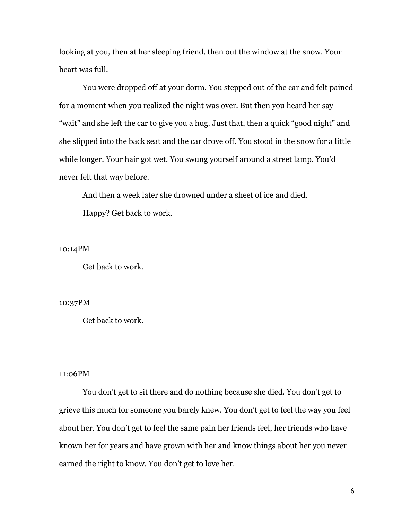looking at you, then at her sleeping friend, then out the window at the snow. Your heart was full.

You were dropped off at your dorm. You stepped out of the car and felt pained for a moment when you realized the night was over. But then you heard her say "wait" and she left the car to give you a hug. Just that, then a quick "good night" and she slipped into the back seat and the car drove off. You stood in the snow for a little while longer. Your hair got wet. You swung yourself around a street lamp. You'd never felt that way before.

And then a week later she drowned under a sheet of ice and died. Happy? Get back to work.

10:14PM

Get back to work.

## 10:37PM

Get back to work.

## 11:06PM

You don't get to sit there and do nothing because she died. You don't get to grieve this much for someone you barely knew. You don't get to feel the way you feel about her. You don't get to feel the same pain her friends feel, her friends who have known her for years and have grown with her and know things about her you never earned the right to know. You don't get to love her.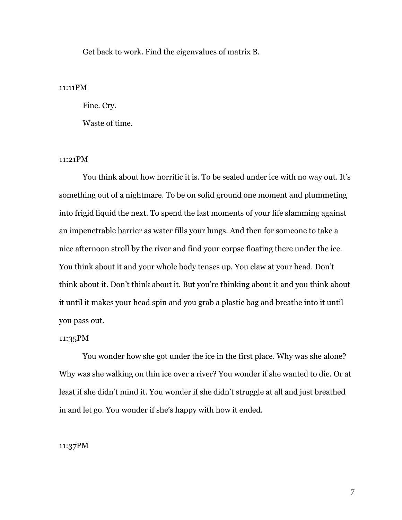Get back to work. Find the eigenvalues of matrix B.

## 11:11PM

Fine. Cry.

Waste of time.

# 11:21PM

You think about how horrific it is. To be sealed under ice with no way out. It's something out of a nightmare. To be on solid ground one moment and plummeting into frigid liquid the next. To spend the last moments of your life slamming against an impenetrable barrier as water fills your lungs. And then for someone to take a nice afternoon stroll by the river and find your corpse floating there under the ice. You think about it and your whole body tenses up. You claw at your head. Don't think about it. Don't think about it. But you're thinking about it and you think about it until it makes your head spin and you grab a plastic bag and breathe into it until you pass out.

#### 11:35PM

You wonder how she got under the ice in the first place. Why was she alone? Why was she walking on thin ice over a river? You wonder if she wanted to die. Or at least if she didn't mind it. You wonder if she didn't struggle at all and just breathed in and let go. You wonder if she's happy with how it ended.

## 11:37PM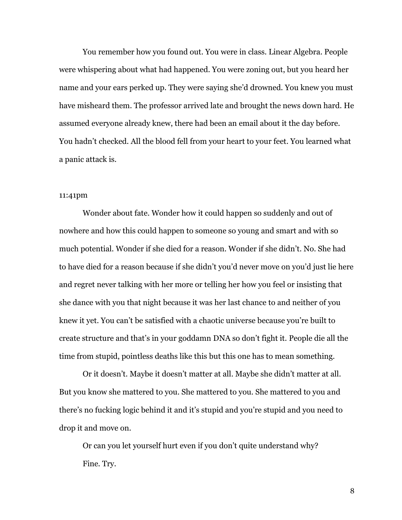You remember how you found out. You were in class. Linear Algebra. People were whispering about what had happened. You were zoning out, but you heard her name and your ears perked up. They were saying she'd drowned. You knew you must have misheard them. The professor arrived late and brought the news down hard. He assumed everyone already knew, there had been an email about it the day before. You hadn't checked. All the blood fell from your heart to your feet. You learned what a panic attack is.

#### 11:41pm

Wonder about fate. Wonder how it could happen so suddenly and out of nowhere and how this could happen to someone so young and smart and with so much potential. Wonder if she died for a reason. Wonder if she didn't. No. She had to have died for a reason because if she didn't you'd never move on you'd just lie here and regret never talking with her more or telling her how you feel or insisting that she dance with you that night because it was her last chance to and neither of you knew it yet. You can't be satisfied with a chaotic universe because you're built to create structure and that's in your goddamn DNA so don't fight it. People die all the time from stupid, pointless deaths like this but this one has to mean something.

Or it doesn't. Maybe it doesn't matter at all. Maybe she didn't matter at all. But you know she mattered to you. She mattered to you. She mattered to you and there's no fucking logic behind it and it's stupid and you're stupid and you need to drop it and move on.

Or can you let yourself hurt even if you don't quite understand why? Fine. Try.

8